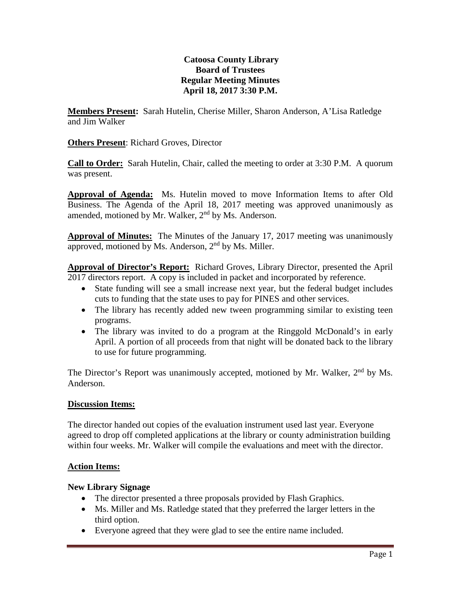## **Catoosa County Library Board of Trustees Regular Meeting Minutes April 18, 2017 3:30 P.M.**

**Members Present:** Sarah Hutelin, Cherise Miller, Sharon Anderson, A'Lisa Ratledge and Jim Walker

**Others Present**: Richard Groves, Director

**Call to Order:** Sarah Hutelin, Chair, called the meeting to order at 3:30 P.M. A quorum was present.

**Approval of Agenda:** Ms. Hutelin moved to move Information Items to after Old Business. The Agenda of the April 18, 2017 meeting was approved unanimously as amended, motioned by Mr. Walker, 2<sup>nd</sup> by Ms. Anderson.

**Approval of Minutes:** The Minutes of the January 17, 2017 meeting was unanimously approved, motioned by Ms. Anderson,  $2<sup>nd</sup>$  by Ms. Miller.

**Approval of Director's Report:** Richard Groves, Library Director, presented the April 2017 directors report. A copy is included in packet and incorporated by reference.

- State funding will see a small increase next year, but the federal budget includes cuts to funding that the state uses to pay for PINES and other services.
- The library has recently added new tween programming similar to existing teen programs.
- The library was invited to do a program at the Ringgold McDonald's in early April. A portion of all proceeds from that night will be donated back to the library to use for future programming.

The Director's Report was unanimously accepted, motioned by Mr. Walker, 2<sup>nd</sup> by Ms. Anderson.

## **Discussion Items:**

The director handed out copies of the evaluation instrument used last year. Everyone agreed to drop off completed applications at the library or county administration building within four weeks. Mr. Walker will compile the evaluations and meet with the director.

## **Action Items:**

## **New Library Signage**

- The director presented a three proposals provided by Flash Graphics.
- Ms. Miller and Ms. Ratledge stated that they preferred the larger letters in the third option.
- Everyone agreed that they were glad to see the entire name included.